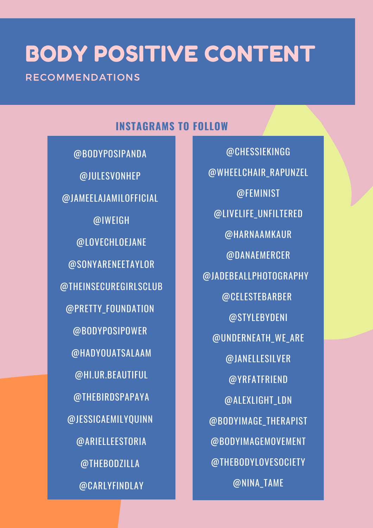# BODY POSITIVE CONTENT

RECOMMENDATIONS

### **INSTAGRAMS TO FOLLOW**

@BODYPOSIPANDA @JULESVONHEP @JAMEELAJAMILOFFICIAL @IWEIGH @LOVECHLOEJANE @SONYARENEETAYLOR @THEINSECUREGIRLSCLUB @PRETTY\_FOUNDATION @BODYPOSIPOWER @HADYOUATSALAAM @HI.UR.BEAUTIFUL @THEBIRDSPAPAYA @JESSICAEMILYQUINN @ARIELLEESTORIA @THEBODZILLA @CARLYFINDLAY

@CHESSIEKINGG @WHEELCHAIR\_RAPUNZEL @FEMINIST @LIVELIFE\_UNFILTERED @HARNAAMKAUR @DANAEMERCER @JADEBEALLPHOTOGRAPHY @CELESTEBARBER @STYLEBYDENI @UNDERNEATH\_WE\_ARE @JANELLESILVER @YRFATFRIEND @ALEXLIGHT\_LDN @BODYIMAGE\_THERAPIST @BODYIMAGEMOVEMENT @THEBODYLOVESOCIETY @NINA\_TAME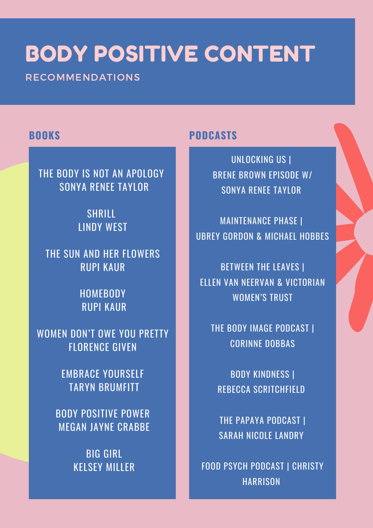# BODY POSITIVE CONTENT

RECOMMENDATIONS

### **BOOKS**

THE BODY IS NOT AN APOLOGY SONYA RENEE TAYLOR

> **SHRILL** LINDY WEST

THE SUN AND HER FLOWERS RUPI KAUR

> **HOMEBODY** RUPI KAUR

WOMEN DON'T OWE YOU PRETTY FLORENCE GIVEN

> EMBRACE YOURSELF TARYN BRUMFITT

BODY POSITIVE POWER MEGAN JAYNE CRABBE

> BIG GIRL KELSEY MILLER

### **PODCASTS**

UNLOCKING US | BRENE BROWN EPISODE W/ SONYA RENEE TAYLOR

MAINTENANCE PHASE | UBREY GORDON & MICHAEL HOBBES

BETWEEN THE LEAVES | ELLEN VAN NEERVAN & VICTORIAN WOMEN'S TRUST

THE BODY IMAGE PODCAST | CORINNE DOBBAS

BODY KINDNESS | REBECCA SCRITCHFIELD

THE PAPAYA PODCAST | SARAH NICOLE LANDRY

FOOD PSYCH PODCAST | CHRISTY **HARRISON**